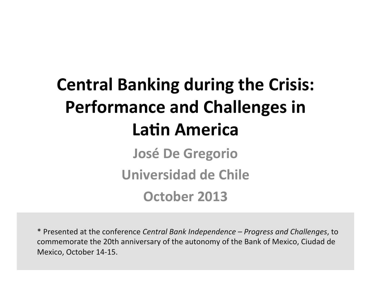# **Central Banking during the Crisis: Performance and Challenges in Latin America**

**José De Gregorio Universidad de Chile** 

**October 2013** 

\* Presented at the conference *Central Bank Independence – Progress and Challenges*, to commemorate the 20th anniversary of the autonomy of the Bank of Mexico, Ciudad de Mexico, October 14-15.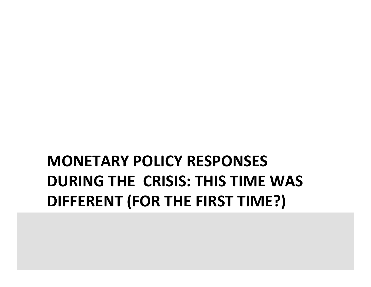## **MONETARY POLICY RESPONSES DURING THE CRISIS: THIS TIME WAS DIFFERENT (FOR THE FIRST TIME?)**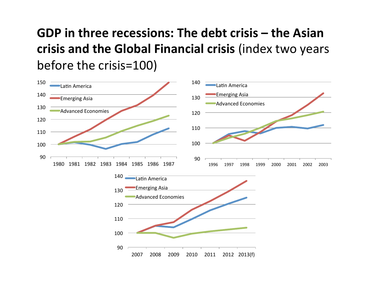#### GDP in three recessions: The debt crisis – the Asian crisis and the Global Financial crisis (index two years before the crisis=100)

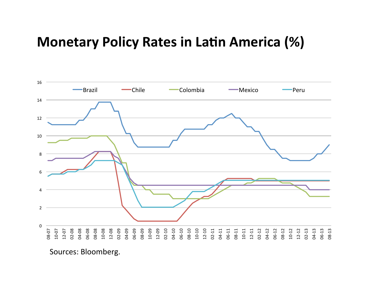#### **Monetary Policy Rates in Latin America (%)**



Sources: Bloomberg.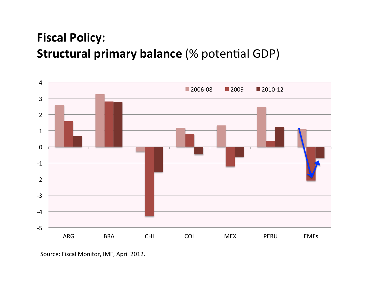#### **Fiscal Policy: Structural primary balance (% potential GDP)**



Source: Fiscal Monitor, IMF, April 2012.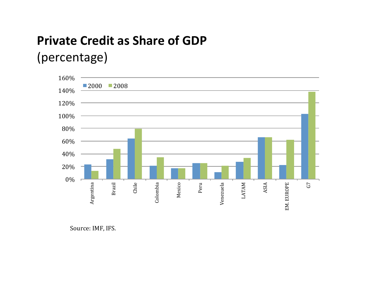## **Private Credit as Share of GDP**

#### (percentage)



Source: IMF, IFS.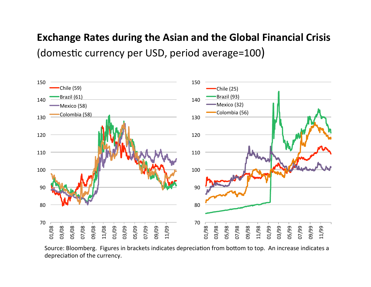#### **Exchange Rates during the Asian and the Global Financial Crisis** (domestic currency per USD, period average=100)



Source: Bloomberg. Figures in brackets indicates depreciation from bottom to top. An increase indicates a depreciation of the currency.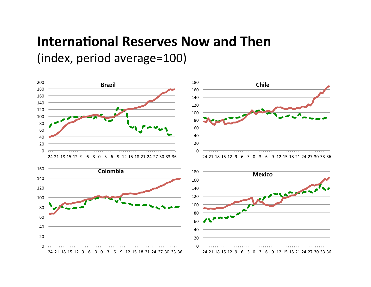#### **International Reserves Now and Then**

(index, period average=100)

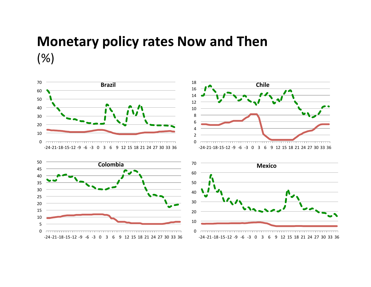#### **Monetary policy rates Now and Then** (%)







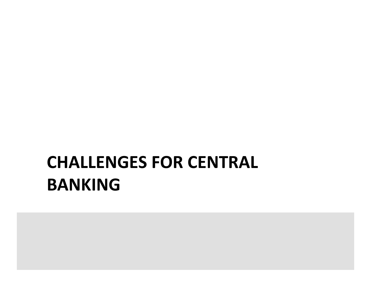## **CHALLENGES FOR CENTRAL BANKING**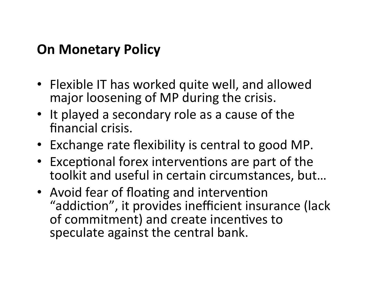#### **On Monetary Policy**

- Flexible IT has worked quite well, and allowed major loosening of MP during the crisis.
- It played a secondary role as a cause of the financial crisis.
- Exchange rate flexibility is central to good MP.
- Exceptional forex interventions are part of the toolkit and useful in certain circumstances, but...
- Avoid fear of floating and intervention "addiction", it provides inefficient insurance (lack of commitment) and create incentives to speculate against the central bank.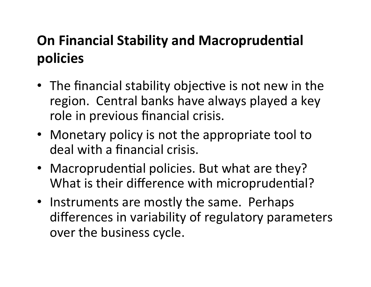## **On Financial Stability and Macroprudential policies**

- The financial stability objective is not new in the region. Central banks have always played a key role in previous financial crisis.
- Monetary policy is not the appropriate tool to deal with a financial crisis.
- Macroprudential policies. But what are they? What is their difference with microprudential?
- Instruments are mostly the same. Perhaps differences in variability of regulatory parameters over the business cycle.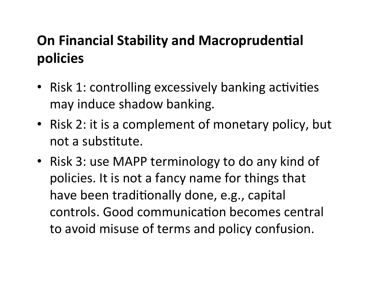## **On Financial Stability and Macroprudential policies**

- Risk 1: controlling excessively banking activities may induce shadow banking.
- Risk 2: it is a complement of monetary policy, but not a substitute.
- Risk 3: use MAPP terminology to do any kind of policies. It is not a fancy name for things that have been traditionally done, e.g., capital controls. Good communication becomes central to avoid misuse of terms and policy confusion.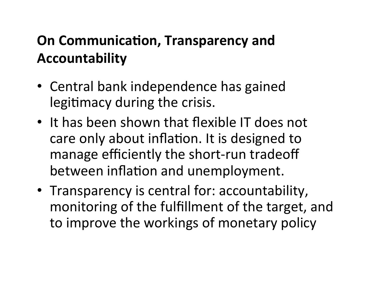### **On Communication, Transparency and Accountability**

- Central bank independence has gained legitimacy during the crisis.
- It has been shown that flexible IT does not care only about inflation. It is designed to manage efficiently the short-run tradeoff between inflation and unemployment.
- Transparency is central for: accountability, monitoring of the fulfillment of the target, and to improve the workings of monetary policy